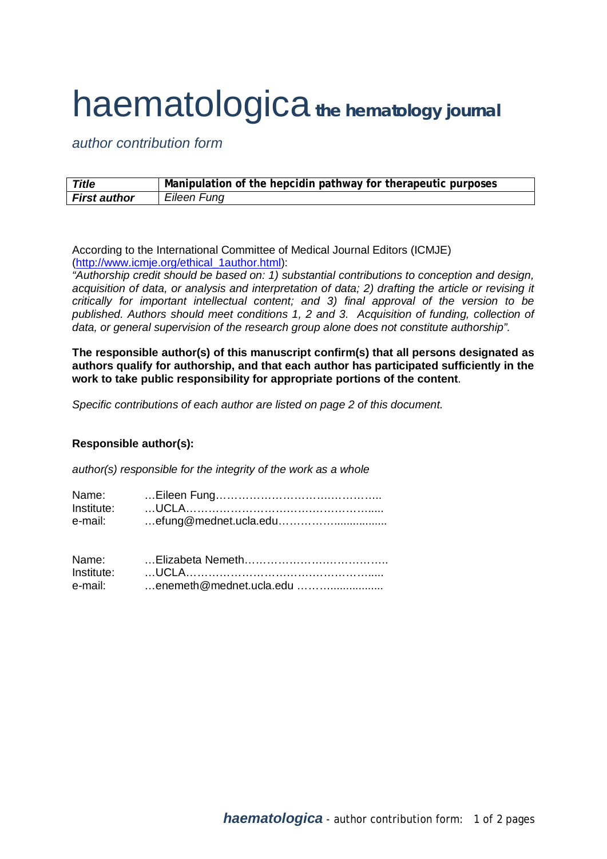## haematologica*the hematology journal*

*author contribution form*

| <b>Title</b>        | Manipulation of the hepcidin pathway for therapeutic purposes |
|---------------------|---------------------------------------------------------------|
| <b>First author</b> | Eileen Fung                                                   |

According to the International Committee of Medical Journal Editors (ICMJE) [\(http://www.icmje.org/ethical\\_1author.html\)](http://www.icmje.org/ethical_1author.html):

*"Authorship credit should be based on: 1) substantial contributions to conception and design, acquisition of data, or analysis and interpretation of data; 2) drafting the article or revising it critically for important intellectual content; and 3) final approval of the version to be*  published. Authors should meet conditions 1, 2 and 3. Acquisition of funding, collection of *data, or general supervision of the research group alone does not constitute authorship".*

**The responsible author(s) of this manuscript confirm(s) that all persons designated as authors qualify for authorship, and that each author has participated sufficiently in the work to take public responsibility for appropriate portions of the content**.

*Specific contributions of each author are listed on page 2 of this document.*

## **Responsible author(s):**

*author(s) responsible for the integrity of the work as a whole*

| Name:   |  |
|---------|--|
|         |  |
| e-mail: |  |

| Name:      |                         |
|------------|-------------------------|
| Institute: |                         |
| e-mail:    | enemeth@mednet.ucla.edu |